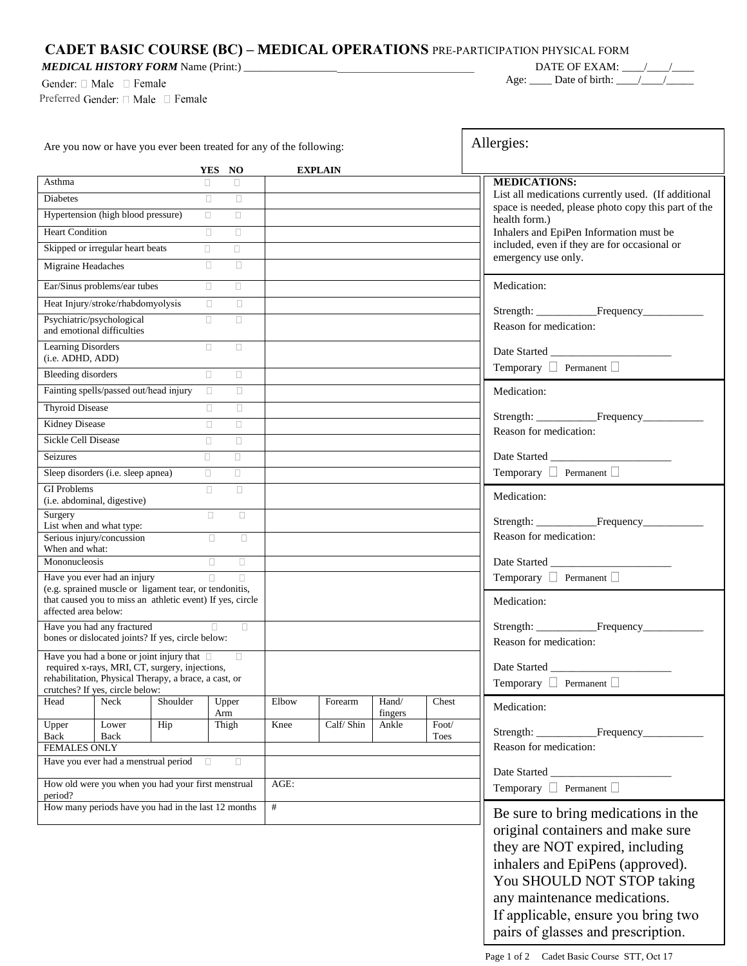*MEDICAL HISTORY FORM* Name (Print:) \_\_\_\_\_\_\_\_\_\_\_\_\_\_\_\_\_\_\_\_\_\_\_\_\_\_\_\_\_\_\_\_\_\_\_\_\_\_\_\_\_\_

Gender:  $\square$  Male  $\square$  Female

Preferred Gender: □ Male □ Female

**DATE OF EXAM:** \_\_\_\_/\_\_\_\_/\_\_\_\_ Age:  $\Box$  Date of birth:  $\Box$ 

٦

 $\Gamma$ 

| Are you now or have you ever been treated for any of the following:                                                                         |                                                                                                   |          |        |              |       | Allergies:     |                                                                                                                 |                        |                                                                                                                                                                        |  |
|---------------------------------------------------------------------------------------------------------------------------------------------|---------------------------------------------------------------------------------------------------|----------|--------|--------------|-------|----------------|-----------------------------------------------------------------------------------------------------------------|------------------------|------------------------------------------------------------------------------------------------------------------------------------------------------------------------|--|
|                                                                                                                                             |                                                                                                   |          |        | YES NO       |       | <b>EXPLAIN</b> |                                                                                                                 |                        |                                                                                                                                                                        |  |
| Asthma                                                                                                                                      |                                                                                                   |          | $\Box$ | $\Box$       |       |                |                                                                                                                 |                        | <b>MEDICATIONS:</b>                                                                                                                                                    |  |
| Diabetes                                                                                                                                    |                                                                                                   |          | $\Box$ | $\Box$       |       |                |                                                                                                                 |                        | List all medications currently used. (If additional                                                                                                                    |  |
| Hypertension (high blood pressure)<br>$\Box$<br>$\Box$                                                                                      |                                                                                                   |          |        |              |       |                | space is needed, please photo copy this part of the<br>health form.)<br>Inhalers and EpiPen Information must be |                        |                                                                                                                                                                        |  |
| <b>Heart Condition</b><br>$\Box$<br>$\Box$                                                                                                  |                                                                                                   |          |        |              |       |                |                                                                                                                 |                        |                                                                                                                                                                        |  |
| Skipped or irregular heart beats<br>$\Box$<br>$\Box$                                                                                        |                                                                                                   |          |        |              |       |                | included, even if they are for occasional or                                                                    |                        |                                                                                                                                                                        |  |
| Migraine Headaches                                                                                                                          |                                                                                                   |          | $\Box$ | $\Box$       |       |                |                                                                                                                 |                        | emergency use only.                                                                                                                                                    |  |
|                                                                                                                                             | Ear/Sinus problems/ear tubes                                                                      |          | $\Box$ | $\Box$       |       |                |                                                                                                                 |                        | Medication:                                                                                                                                                            |  |
|                                                                                                                                             | Heat Injury/stroke/rhabdomyolysis                                                                 |          | $\Box$ | $\Box$       |       |                |                                                                                                                 |                        |                                                                                                                                                                        |  |
| Psychiatric/psychological<br>and emotional difficulties                                                                                     |                                                                                                   |          | $\Box$ | $\Box$       |       |                |                                                                                                                 |                        | Reason for medication:                                                                                                                                                 |  |
| Learning Disorders<br>(i.e. ADHD, ADD)                                                                                                      |                                                                                                   |          | $\Box$ | $\Box$       |       |                |                                                                                                                 |                        | Date Started                                                                                                                                                           |  |
| <b>Bleeding disorders</b>                                                                                                                   |                                                                                                   |          | $\Box$ | $\Box$       |       |                |                                                                                                                 |                        | Temporary D Permanent D                                                                                                                                                |  |
|                                                                                                                                             | Fainting spells/passed out/head injury                                                            |          | $\Box$ | $\Box$       |       |                |                                                                                                                 |                        | Medication:                                                                                                                                                            |  |
| Thyroid Disease                                                                                                                             |                                                                                                   |          | $\Box$ | $\Box$       |       |                |                                                                                                                 |                        | Strength: Frequency                                                                                                                                                    |  |
| Kidney Disease                                                                                                                              |                                                                                                   |          | $\Box$ | $\Box$       |       |                |                                                                                                                 |                        | Reason for medication:                                                                                                                                                 |  |
| Sickle Cell Disease                                                                                                                         |                                                                                                   |          | $\Box$ | $\Box$       |       |                |                                                                                                                 |                        |                                                                                                                                                                        |  |
| Seizures                                                                                                                                    |                                                                                                   |          | $\Box$ | $\Box$       |       |                |                                                                                                                 |                        |                                                                                                                                                                        |  |
|                                                                                                                                             | Sleep disorders (i.e. sleep apnea)                                                                |          | $\Box$ | $\Box$       |       |                |                                                                                                                 |                        | Temporary □ Permanent □                                                                                                                                                |  |
| <b>GI Problems</b>                                                                                                                          | (i.e. abdominal, digestive)                                                                       |          | $\Box$ | $\Box$       |       |                |                                                                                                                 |                        | Medication:                                                                                                                                                            |  |
| Surgery                                                                                                                                     |                                                                                                   |          | $\Box$ | $\Box$       |       |                |                                                                                                                 |                        |                                                                                                                                                                        |  |
| List when and what type:<br>Serious injury/concussion<br>$\Box$<br>$\Box$<br>When and what:                                                 |                                                                                                   |          |        |              |       |                |                                                                                                                 | Reason for medication: |                                                                                                                                                                        |  |
| Mononucleosis                                                                                                                               |                                                                                                   |          | $\Box$ | $\Box$       |       |                |                                                                                                                 |                        |                                                                                                                                                                        |  |
|                                                                                                                                             | Have you ever had an injury                                                                       |          | $\Box$ | $\Box$       |       |                |                                                                                                                 |                        | Temporary $\Box$ Permanent $\Box$                                                                                                                                      |  |
| (e.g. sprained muscle or ligament tear, or tendonitis,<br>that caused you to miss an athletic event) If yes, circle<br>affected area below: |                                                                                                   |          |        |              |       |                |                                                                                                                 | Medication:            |                                                                                                                                                                        |  |
|                                                                                                                                             | Have you had any fractured                                                                        |          |        | $\Box$       |       |                |                                                                                                                 |                        |                                                                                                                                                                        |  |
| bones or dislocated joints? If yes, circle below:                                                                                           |                                                                                                   |          |        |              |       |                | Reason for medication:                                                                                          |                        |                                                                                                                                                                        |  |
|                                                                                                                                             | Have you had a bone or joint injury that $\Box$<br>required x-rays, MRI, CT, surgery, injections, |          |        | $\Box$       |       |                |                                                                                                                 |                        | Date Started                                                                                                                                                           |  |
|                                                                                                                                             | rehabilitation, Physical Therapy, a brace, a cast, or                                             |          |        |              |       |                |                                                                                                                 |                        | Temporary □ Permanent □                                                                                                                                                |  |
| Head                                                                                                                                        | crutches? If yes, circle below:<br>Neck                                                           | Shoulder |        | Upper<br>Arm | Elbow | Forearm        | Hand/<br>fingers                                                                                                | Chest                  | Medication:                                                                                                                                                            |  |
| Upper                                                                                                                                       | Lower                                                                                             | Hip      |        | Thigh        | Knee  | Calf/Shin      | Ankle                                                                                                           | Foot/                  | Strength:                                                                                                                                                              |  |
| Back<br><b>FEMALES ONLY</b>                                                                                                                 | Back                                                                                              |          |        |              |       |                |                                                                                                                 | Toes                   | Reason for medication:                                                                                                                                                 |  |
|                                                                                                                                             | Have you ever had a menstrual period                                                              |          | $\Box$ | $\Box$       |       |                |                                                                                                                 |                        |                                                                                                                                                                        |  |
|                                                                                                                                             |                                                                                                   |          |        |              |       |                |                                                                                                                 | Date Started _         |                                                                                                                                                                        |  |
| How old were you when you had your first menstrual<br>period?                                                                               |                                                                                                   |          | AGE:   |              |       |                | Temporary $\Box$ Permanent $\Box$                                                                               |                        |                                                                                                                                                                        |  |
| How many periods have you had in the last 12 months                                                                                         |                                                                                                   |          | #      |              |       |                | Be sure to bring medications in the                                                                             |                        |                                                                                                                                                                        |  |
|                                                                                                                                             |                                                                                                   |          |        |              |       |                |                                                                                                                 |                        | original containers and make sure<br>they are NOT expired, including<br>inhalers and EpiPens (approved).<br>You SHOULD NOT STOP taking<br>any maintenance medications. |  |

If applicable, ensure you bring two pairs of glasses and prescription.